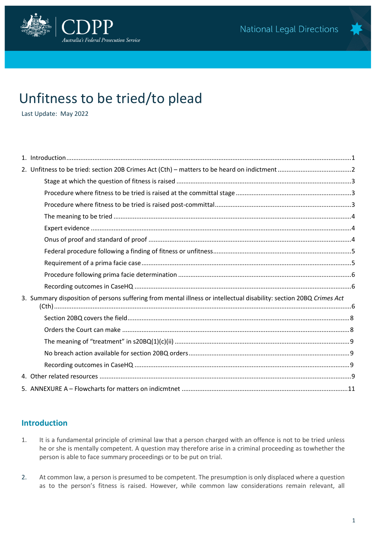

# Unfitness to be tried/to plead

Last Update: May 2022

| 3. Summary disposition of persons suffering from mental illness or intellectual disability: section 20BQ Crimes Act |  |
|---------------------------------------------------------------------------------------------------------------------|--|
|                                                                                                                     |  |
|                                                                                                                     |  |
|                                                                                                                     |  |
|                                                                                                                     |  |
|                                                                                                                     |  |
|                                                                                                                     |  |
|                                                                                                                     |  |
|                                                                                                                     |  |
|                                                                                                                     |  |

## <span id="page-0-0"></span>**Introduction**

- 1. It is a fundamental principle of criminal law that a person charged with an offence is not to be tried unless he or she is mentally competent. A question may therefore arise in a criminal proceeding as towhether the person is able to face summary proceedings or to be put on trial.
- 2. At common law, a person is presumed to be competent. The presumption is only displaced where a question as to the person's fitness is raised. However, while common law considerations remain relevant, all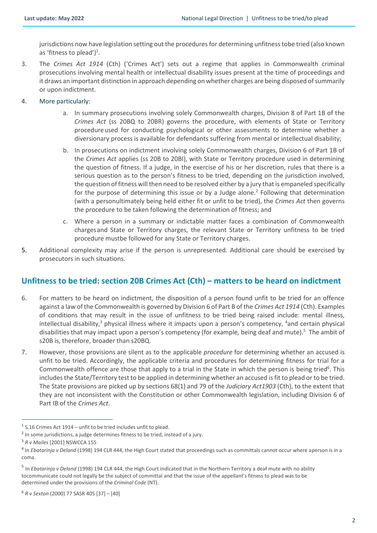jurisdictions now have legislation setting out the procedures for determining unfitness tobe tried (also known as 'fitness to plead') $^1$ .

- 3. The *Crimes Act 1914* (Cth) ('Crimes Act') sets out a regime that applies in Commonwealth criminal prosecutions involving mental health or intellectual disability issues present at the time of proceedings and it draws an important distinction in approach depending on whether charges are being disposed of summarily or upon indictment.
- 4. More particularly:
	- a. In summary prosecutions involving solely Commonwealth charges, Division 8 of Part 1B of the *Crimes Act* (ss 20BQ to 20BR) governs the procedure, with elements of State or Territory procedureused for conducting psychological or other assessments to determine whether a diversionary process is available for defendants suffering from mental or intellectual disability;
	- b. In prosecutions on indictment involving solely Commonwealth charges, Division 6 of Part 1B of the *Crimes Act* applies (ss 20B to 20BI), with State or Territory procedure used in determining the question of fitness. If a judge, in the exercise of his or her discretion, rules that there is a serious question as to the person's fitness to be tried, depending on the jurisdiction involved, the question of fitness will then need to be resolved either by a jury that is empaneled specifically for the purpose of determining this issue or by a Judge alone.<sup>2</sup> Following that determination (with a personultimately being held either fit or unfit to be tried), the *Crimes Act* then governs the procedure to be taken following the determination of fitness; and
	- c. Where a person in a summary or indictable matter faces a combination of Commonwealth chargesand State or Territory charges, the relevant State or Territory unfitness to be tried procedure mustbe followed for any State or Territory charges.
- 5. Additional complexity may arise if the person is unrepresented. Additional care should be exercised by prosecutors in such situations.

## <span id="page-1-0"></span>**Unfitness to be tried: section 20B Crimes Act (Cth) – matters to be heard on indictment**

- 6. For matters to be heard on indictment, the disposition of a person found unfit to be tried for an offence against a law of the Commonwealth is governed by Division 6 of Part B of the *Crimes Act 1914* (Cth). Examples of conditions that may result in the issue of unfitness to be tried being raised include: mental illness, intellectual disability, $3$  physical illness where it impacts upon a person's competency,  $4$  and certain physical disabilities that may impact upon a person's competency (for example, being deaf and mute).<sup>5</sup> The ambit of s20B is, therefore, broader than s20BQ.
- 7. However, those provisions are silent as to the applicable *procedure* for determining whether an accused is unfit to be tried. Accordingly, the applicable criteria and procedures for determining fitness for trial for a Commonwealth offence are those that apply to a trial in the State in which the person is being tried<sup>6</sup>. This includes the State/Territory test to be applied in determining whether an accused is fit to plead or to be tried. The State provisions are picked up by sections 68(1) and 79 of the *Judiciary Act1903* (Cth), to the extent that they are not inconsistent with the Constitution or other Commonwealth legislation, including Division 6 of Part IB of the *Crimes Act*.

 $1$  S.16 Crimes Act 1914 – unfit to be tried includes unfit to plead.

 $^2$  In some jurisdictions, a judge determines fitness to be tried, instead of a jury.

<sup>3</sup> *R v Mailes* [2001] NSWCCA 155

<sup>4</sup> In *Ebatarinja v Deland* (1998) 194 CLR 444, the High Court stated that proceedings such as committals cannot occur where aperson is in a coma.

<sup>&</sup>lt;sup>5</sup> In *Ebatarinja v Deland* (1998) 194 CLR 444, the High Court indicated that in the Northern Territory a deaf mute with no ability tocommunicate could not legally be the subject of committal and that the issue of the appellant's fitness to plead was to be determined under the provisions of the *Criminal Code* (NT).

<sup>6</sup> *R v Sexton* (2000) 77 SASR 405 [37] – [40]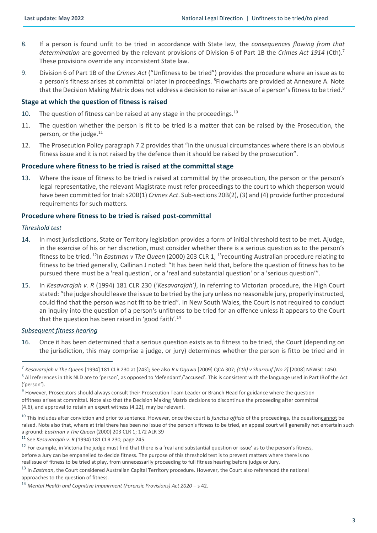- 8. If a person is found unfit to be tried in accordance with State law, the *consequences flowing from that determination* are governed by the relevant provisions of Division 6 of Part 1B the *Crimes Act 1914* (Cth).<sup>7</sup> These provisions override any inconsistent State law.
- 9. Division 6 of Part 1B of the *Crimes Act* ("Unfitness to be tried") provides the procedure where an issue as to a person's fitness arises at committal or later in proceedings. <sup>8</sup>Flowcharts are provided at Annexure A. Note that the Decision Making Matrix does not address a decision to raise an issue of a person's fitness to be tried.<sup>9</sup>

#### <span id="page-2-0"></span>**Stage at which the question of fitness is raised**

- 10. The question of fitness can be raised at any stage in the proceedings. $^{10}$
- 11. The question whether the person is fit to be tried is a matter that can be raised by the Prosecution, the person, or the judge.<sup>11</sup>
- 12. The Prosecution Policy paragraph 7.2 provides that "in the unusual circumstances where there is an obvious fitness issue and it is not raised by the defence then it should be raised by the prosecution".

#### <span id="page-2-1"></span>**Procedure where fitness to be tried is raised at the committal stage**

13. Where the issue of fitness to be tried is raised at committal by the prosecution, the person or the person's legal representative, the relevant Magistrate must refer proceedings to the court to which theperson would have been committed for trial: s20B(1) *Crimes Act*. Sub-sections 20B(2), (3) and (4) provide further procedural requirements for such matters.

#### <span id="page-2-2"></span>**Procedure where fitness to be tried is raised post-committal**

#### *Threshold test*

- 14. In most jurisdictions, State or Territory legislation provides a form of initial threshold test to be met. Ajudge, in the exercise of his or her discretion, must consider whether there is a serious question as to the person's fitness to be tried. <sup>12</sup>In *Eastman v The Queen* (2000) 203 CLR 1, <sup>13</sup>recounting Australian procedure relating to fitness to be tried generally, Callinan J noted: "It has been held that, before the question of fitness has to be pursued there must be a 'real question', or a 'real and substantial question' or a 'serious question'".
- 15. In *Kesavarajah v. R* (1994) 181 CLR 230 ('*Kesavarajah')*, in referring to Victorian procedure, the High Court stated: "the judge should leave the issue to be tried by the jury unless no reasonable jury, properly instructed, could find that the person was not fit to be tried". In New South Wales, the Court is not required to conduct an inquiry into the question of a person's unfitness to be tried for an offence unless it appears to the Court that the question has been raised in 'good faith'.<sup>14</sup>

#### *Subsequent fitness hearing*

16. Once it has been determined that a serious question exists as to fitness to be tried, the Court (depending on the jurisdiction, this may comprise a judge, or jury) determines whether the person is fitto be tried and in

<sup>7</sup> *Kesavarajah v The Queen* [1994] 181 CLR 230 at [243]; See also *R v Ogawa* [2009] QCA 307; *(Cth) v Sharrouf [No 2]* [2008] NSWSC 1450. <sup>8</sup> All references in this NLD are to 'person', as opposed to 'defendant'/'accused'. This is consistent with the language used in Part IB of the Act ('person').

<sup>&</sup>lt;sup>9</sup> However, Prosecutors should always consult their Prosecution Team Leader or Branch Head for guidance where the question offitness arises at committal. Note also that the Decision Making Matrix decisions to discontinue the proceeding after committal (4.6), and approval to retain an expert witness (4.22), may be relevant.

<sup>10</sup> This includes after conviction and prior to sentence. However, once the court is *functus officio* of the proceedings, the questioncannot be raised. Note also that, where at trial there has been no issue of the person's fitness to be tried, an appeal court will generally not entertain such a ground: *Eastman v The Queen* (2000) 203 CLR 1; 172 ALR 39

<sup>11</sup> See *Kesavarajah v. R* (1994) 181 CLR 230*,* page 245.

 $12$  For example, in Victoria the judge must find that there is a 'real and substantial question or issue' as to the person's fitness, before a Jury can be empanelled to decide fitness. The purpose of this threshold test is to prevent matters where there is no realissue of fitness to be tried at play, from unnecessarily proceeding to full fitness hearing before judge or Jury.

<sup>13</sup> In *Eastman*, the Court considered Australian Capital Territory procedure. However, the Court also referenced the national approaches to the question of fitness.

<sup>14</sup> *Mental Health and Cognitive Impairment (Forensic Provisions) Act 2020* – s 42.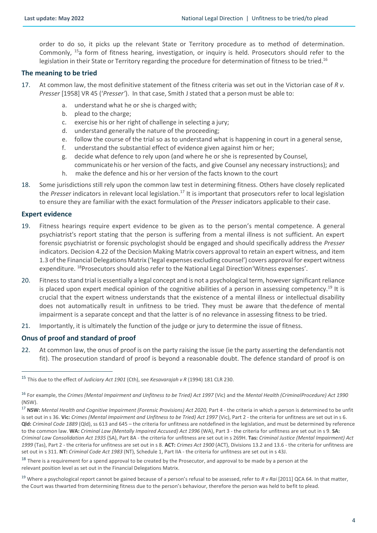order to do so, it picks up the relevant State or Territory procedure as to method of determination. Commonly, <sup>15</sup>a form of fitness hearing, investigation, or inquiry is held. Prosecutors should refer to the legislation in their State or Territory regarding the procedure for determination of fitness to be tried.<sup>16</sup>

#### <span id="page-3-0"></span>**The meaning to be tried**

- 17. At common law, the most definitive statement of the fitness criteria was set out in the Victorian case of *R v. Presser* [1958] VR 45 ('*Presser'*). In that case, Smith J stated that a person must be able to:
	- a. understand what he or she is charged with;
	- b. plead to the charge;
	- c. exercise his or her right of challenge in selecting a jury;
	- d. understand generally the nature of the proceeding;
	- e. follow the course of the trial so as to understand what is happening in court in a general sense,
	- f. understand the substantial effect of evidence given against him or her;
	- g. decide what defence to rely upon (and where he or she is represented by Counsel,
	- communicate his or her version of the facts, and give Counsel any necessary instructions); and
	- h. make the defence and his or her version of the facts known to the court
- 18. Some jurisdictions still rely upon the common law test in determining fitness. Others have closely replicated the *Presser* indicators in relevant local legislation.<sup>17</sup> It is important that prosecutors refer to local legislation to ensure they are familiar with the exact formulation of the *Presser* indicators applicable to their case.

#### <span id="page-3-1"></span>**Expert evidence**

- 19. Fitness hearings require expert evidence to be given as to the person's mental competence. A general psychiatrist's report stating that the person is suffering from a mental illness is not sufficient. An expert forensic psychiatrist or forensic psychologist should be engaged and should specifically address the *Presser*  indicators. Decision 4.22 of the Decision Making Matrix covers approval to retain an expert witness, and item 1.3 of the Financial Delegations Matrix ('legal expenses excluding counsel') covers approval for expert witness expenditure. <sup>18</sup>Prosecutors should also refer to the National Legal Direction'Witness expenses'.
- 20. Fitness to stand trial is essentially a legal concept and is not a psychological term, however significant reliance is placed upon expert medical opinion of the cognitive abilities of a person in assessing competency.<sup>19</sup> It is crucial that the expert witness understands that the existence of a mental illness or intellectual disability does not automatically result in unfitness to be tried. They must be aware that thedefence of mental impairment is a separate concept and that the latter is of no relevance in assessing fitness to be tried.
- 21. Importantly, it is ultimately the function of the judge or jury to determine the issue of fitness.

#### <span id="page-3-2"></span>**Onus of proof and standard of proof**

22. At common law, the onus of proof is on the party raising the issue (ie the party asserting the defendantis not fit). The prosecution standard of proof is beyond a reasonable doubt. The defence standard of proof is on

<sup>15</sup> This due to the effect of *Judiciary Act 1901* (Cth), see *Kesavarajah v R* (1994) 181 CLR 230.

<sup>16</sup> For example, the *Crimes (Mental Impairment and Unfitness to be Tried) Act 1997* (Vic) and the *Mental Health (CriminalProcedure) Act 1990* (NSW).

<sup>17</sup> **NSW:** *Mental Health and Cognitive Impairment (Forensic Provisions) Act 2020,* Part 4 - the criteria in which a person is determined to be unfit is set out in s 36. **Vic:** *Crimes (Mental Impairment and Unfitness to be Tried) Act 1997* (Vic), Part 2 - the criteria for unfitness are set out in s 6. **Qld:** *Criminal Code 1889* (Qld), ss 613 and 645 – the criteria for unfitness are notdefined in the legislation, and must be determined by reference to the common law. **WA:** *Criminal Law (Mentally Impaired Accused) Act 1996* (WA), Part 3 - the criteria for unfitness are set out in s 9. **SA:**  *Criminal Law Consolidation Act 1935* (SA), Part 8A - the criteria for unfitness are set out in s 269H. **Tas:** *Criminal Justice (Mental Impairment) Act 1999* (Tas), Part 2 - the criteria for unfitness are set out in s 8. **ACT:** *Crimes Act 1900* (ACT), Divisions 13.2 and 13.6 - the criteria for unfitness are set out in s 311. **NT:** *Criminal Code Act 1983* (NT), Schedule 1, Part IIA - the criteria for unfitness are set out in s 43J.

<sup>&</sup>lt;sup>18</sup> There is a requirement for a spend approval to be created by the Prosecutor, and approval to be made by a person at the relevant position level as set out in the Financial Delegations Matrix.

<sup>&</sup>lt;sup>19</sup> Where a psychological report cannot be gained because of a person's refusal to be assessed, refer to *R v Rai* [2011] QCA 64. In that matter, the Court was thwarted from determining fitness due to the person's behaviour, therefore the person was held to befit to plead.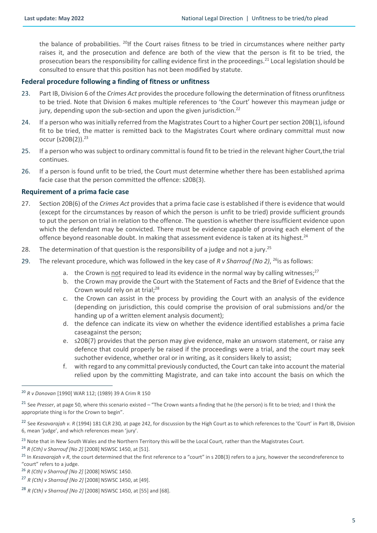the balance of probabilities. <sup>20</sup>If the Court raises fitness to be tried in circumstances where neither party raises it, and the prosecution and defence are both of the view that the person is fit to be tried, the prosecution bears the responsibility for calling evidence first in the proceedings.<sup>21</sup> Local legislation should be consulted to ensure that this position has not been modified by statute.

#### <span id="page-4-0"></span>**Federal procedure following a finding of fitness or unfitness**

- 23. Part IB, Division 6 of the *Crimes Act* provides the procedure following the determination of fitness orunfitness to be tried. Note that Division 6 makes multiple references to 'the Court' however this maymean judge or jury, depending upon the sub-section and upon the given jurisdiction.<sup>22</sup>
- 24. If a person who was initially referred from the Magistrates Court to a higher Court per section 20B(1), isfound fit to be tried, the matter is remitted back to the Magistrates Court where ordinary committal must now occur (s20B(2)).<sup>23</sup>
- 25. If a person who was subject to ordinary committal is found fit to be tried in the relevant higher Court,the trial continues.
- 26. If a person is found unfit to be tried, the Court must determine whether there has been established aprima facie case that the person committed the offence: s20B(3).

### <span id="page-4-1"></span>**Requirement of a prima facie case**

- 27. Section 20B(6) of the *Crimes Act* provides that a prima facie case is established if there is evidence that would (except for the circumstances by reason of which the person is unfit to be tried) provide sufficient grounds to put the person on trial in relation to the offence. The question is whether there issufficient evidence upon which the defendant may be convicted. There must be evidence capable of proving each element of the offence beyond reasonable doubt. In making that assessment evidence is taken at its highest.<sup>24</sup>
- 28. The determination of that question is the responsibility of a judge and not a jury.<sup>25</sup>
- 29. The relevant procedure, which was followed in the key case of *R v Sharrouf (No 2)*, <sup>26</sup>is as follows:
	- a. the Crown is not required to lead its evidence in the normal way by calling witnesses;<sup>27</sup>
	- b. the Crown may provide the Court with the Statement of Facts and the Brief of Evidence that the Crown would rely on at trial: $^{28}$
	- c. the Crown can assist in the process by providing the Court with an analysis of the evidence (depending on jurisdiction, this could comprise the provision of oral submissions and/or the handing up of a written element analysis document);
	- d. the defence can indicate its view on whether the evidence identified establishes a prima facie caseagainst the person;
	- e. s20B(7) provides that the person may give evidence, make an unsworn statement, or raise any defence that could properly be raised if the proceedings were a trial, and the court may seek suchother evidence, whether oral or in writing, as it considers likely to assist;
	- f. with regard to any committal previously conducted, the Court can take into account the material relied upon by the committing Magistrate, and can take into account the basis on which the

- <sup>23</sup> Note that in New South Wales and the Northern Territory this will be the Local Court, rather than the Magistrates Court.
- <sup>24</sup> *R (Cth) v Sharrouf [No 2]* [2008] NSWSC 1450, at [51].
- <sup>25</sup> In *Kesavarajah v R*, the court determined that the first reference to a "court" in s 20B(3) refers to a jury, however the secondreference to "court" refers to a judge.
- <sup>26</sup> *R (Cth) v Sharrouf [No 2]* [2008] NSWSC 1450.
- <sup>27</sup> *R (Cth) v Sharrouf [No 2]* [2008] NSWSC 1450, at [49].

<sup>20</sup> *R v Donovan* [1990] WAR 112; (1989) 39 A Crim R 150

<sup>21</sup> See *Presser*, at page 50, where this scenario existed – "The Crown wants a finding that he (the person) is fit to be tried; and I think the appropriate thing is for the Crown to begin".

<sup>22</sup> See *Kesavarajah v. R* (1994) 181 CLR 230*,* at page 242, for discussion by the High Court as to which references to the 'Court' in Part IB, Division 6, mean 'judge', and which references mean 'jury'.

<sup>28</sup> *R (Cth) v Sharrouf [No 2]* [2008] NSWSC 1450, at [55] and [68].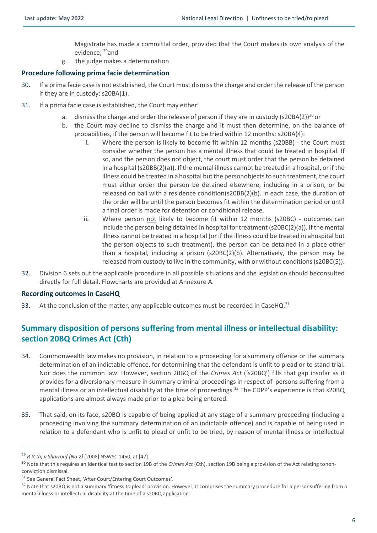Magistrate has made a committal order, provided that the Court makes its own analysis of the evidence: <sup>29</sup>and

g. the judge makes a determination

### <span id="page-5-0"></span>**Procedure following prima facie determination**

- 30. If a prima facie case is not established, the Court must dismiss the charge and order the release of the person if they are in custody: s20BA(1).
- 31. If a prima facie case is established, the Court may either:
	- a. dismiss the charge and order the release of person if they are in custody (s20BA(2))<sup>30</sup> or
	- b. the Court may decline to dismiss the charge and it must then determine, on the balance of probabilities, if the person will become fit to be tried within 12 months: s20BA(4):
		- i. Where the person is likely to become fit within 12 months (s20BB) the Court must consider whether the person has a mental illness that could be treated in hospital. If so, and the person does not object, the court must order that the person be detained in a hospital (s20BB(2)(a)). If the mental illness cannot be treated in a hospital, or if the illness could be treated in a hospital but the personobjects to such treatment, the court must either order the person be detained elsewhere, including in a prison, or be released on bail with a residence condition(s20BB(2)(b). In each case, the duration of the order will be until the person becomes fit within the determination period or until a final order is made for detention or conditional release.
		- ii. Where person not likely to become fit within 12 months (s20BC) outcomes can include the person being detained in hospital for treatment (s20BC(2)(a)). If the mental illness cannot be treated in a hospital (or if the illness could be treated in ahospital but the person objects to such treatment), the person can be detained in a place other than a hospital, including a prison ( $s20BC(2)$ (b). Alternatively, the person may be released from custody to live in the community, with or without conditions(s20BC(5)).
- 32. Division 6 sets out the applicable procedure in all possible situations and the legislation should beconsulted directly for full detail. Flowcharts are provided at Annexure A.

### <span id="page-5-1"></span>**Recording outcomes in CaseHQ**

33. At the conclusion of the matter, any applicable outcomes must be recorded in CaseHQ. $31$ 

## <span id="page-5-2"></span>**Summary disposition of persons suffering from mental illness or intellectual disability: section 20BQ Crimes Act (Cth)**

- 34. Commonwealth law makes no provision, in relation to a proceeding for a summary offence or the summary determination of an indictable offence, for determining that the defendant is unfit to plead or to stand trial. Nor does the common law. However, section 20BQ of the *Crimes Act* ('s20BQ') fills that gap insofar as it provides for a diversionary measure in summary criminal proceedings in respect of persons suffering from a mental illness or an intellectual disability at the time of proceedings.<sup>32</sup> The CDPP's experience is that s20BQ applications are almost always made prior to a plea being entered.
- 35. That said, on its face, s20BQ is capable of being applied at any stage of a summary proceeding (including a proceeding involving the summary determination of an indictable offence) and is capable of being used in relation to a defendant who is unfit to plead or unfit to be tried, by reason of mental illness or intellectual

<sup>29</sup> *R (Cth) v Sharrouf [No 2]* [2008] NSWSC 1450, at [47].

<sup>30</sup> Note that this requires an identical test to section 19B of the *Crimes Act* (Cth), section 19B being a provision of the Act relating tononconviction dismissal.

<sup>31</sup> See General Fact Sheet, 'After Court/Entering Court Outcomes'.

<sup>&</sup>lt;sup>32</sup> Note that s20BQ is not a summary 'fitness to plead' provision. However, it comprises the summary procedure for a personsuffering from a mental illness or intellectual disability at the time of a s20BQ application.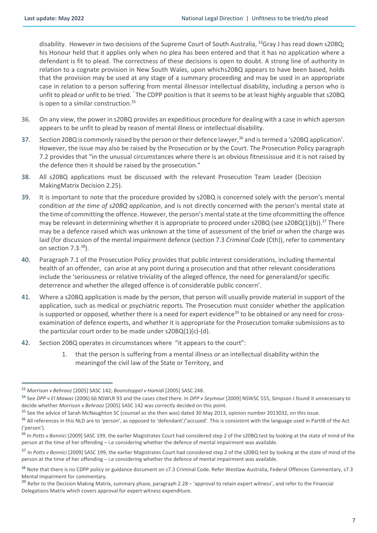disability. However in two decisions of the Supreme Court of South Australia, <sup>33</sup>Gray J has read down s20BQ; his Honour held that it applies only when no plea has been entered and that it has no application where a defendant is fit to plead. The correctness of these decisions is open to doubt. A strong line of authority in relation to a cognate provision in New South Wales, upon whichs20BQ appears to have been based, holds that the provision may be used at any stage of a summary proceeding and may be used in an appropriate case in relation to a person suffering from mental illnessor intellectual disability, including a person who is unfit to plead or unfit to be tried. The CDPP position is that it seems to be at least highly arguable that s20BQ is open to a similar construction.<sup>35</sup>

- 36. On any view, the power in s20BQ provides an expeditious procedure for dealing with a case in which aperson appears to be unfit to plead by reason of mental illness or intellectual disability.
- 37. Section 20BQ is commonly raised by the person or their defence lawyer,<sup>36</sup> and is termed a 's20BQ application'. However, the issue may also be raised by the Prosecution or by the Court. The Prosecution Policy paragraph 7.2 provides that "in the unusual circumstances where there is an obvious fitnessissue and it is not raised by the defence then it should be raised by the prosecution."
- 38. All s20BQ applications must be discussed with the relevant Prosecution Team Leader (Decision MakingMatrix Decision 2.25).
- 39. It is important to note that the procedure provided by s20BQ is concerned solely with the person's mental condition *at the time of s20BQ application*, and is not directly concerned with the person's mental state at the time of committing the offence. However, the person's mental state at the time ofcommitting the offence may be relevant in determining whether it is appropriate to proceed under s20BQ (see s20BQ(1)(b)).<sup>37</sup> There may be a defence raised which was unknown at the time of assessment of the brief or when the charge was laid (for discussion of the mental impairment defence (section 7.3 *Criminal Code* (Cth)), refer to commentary on section 7.3.<sup>38</sup>).
- 40. Paragraph 7.1 of the Prosecution Policy provides that public interest considerations, including themental health of an offender, can arise at any point during a prosecution and that other relevant considerations include the 'seriousness or relative triviality of the alleged offence, the need for generaland/or specific deterrence and whether the alleged offence is of considerable public concern'.
- 41. Where a s20BQ application is made by the person, that person will usually provide material in support of the application, such as medical or psychiatric reports. The Prosecution must consider whether the application is supported or opposed, whether there is a need for expert evidence<sup>39</sup> to be obtained or any need for crossexamination of defence experts, and whether it is appropriate for the Prosecution tomake submissions as to the particular court order to be made under  $s20BQ(1)(c)-(d)$ .
- 42. Section 20BQ operates in circumstances where "it appears to the court":
	- 1. that the person is suffering from a mental illness or an intellectual disability within the meaningof the civil law of the State or Territory, and

<sup>33</sup> *Morrison v Behrooz* [2005] SASC 142; *Boonstoppel v Hamidi* [2005] SASC 248.

<sup>34</sup> See *DPP v El Mawas* (2006) 66 NSWLR 93 and the cases cited there. In *DPP v Seymour* [2009] NSWSC 555, Simpson J found it unnecessary to decide whether *Morrison v Behrooz* [2005] SASC 142 was correctly decided on this point.

<sup>&</sup>lt;sup>35</sup> See the advice of Sarah McNaughton SC (counsel as she then was) dated 30 May 2013, opinion number 2013032, on this issue.

<sup>&</sup>lt;sup>36</sup> All references in this NLD are to 'person', as opposed to 'defendant'/'accused'. This is consistent with the language used in PartIB of the Act ('person').

<sup>36</sup> In *Potts v Bonnici* [2009] SASC 199, the earlier Magistrates Court had considered step 2 of the s20BQ test by looking at the state of mind of the person at the time of her offending – i.e considering whether the defence of mental impairment was available.

<sup>37</sup> In *Potts v Bonnici* [2009] SASC 199, the earlier Magistrates Court had considered step 2 of the s20BQ test by looking at the state of mind of the person at the time of her offending – i.e considering whether the defence of mental impairment was available.

<sup>&</sup>lt;sup>38</sup> Note that there is no CDPP policy or guidance document on s7.3 Criminal Code. Refer Westlaw Australia, Federal Offences Commentary, s7.3 Mental Impairment for commentary.

<sup>&</sup>lt;sup>39</sup> Refer to the Decision Making Matrix, summary phase, paragraph 2.28 – 'approval to retain expert witness', and refer to the Financial Delegations Matrix which covers approval for expert witness expenditure.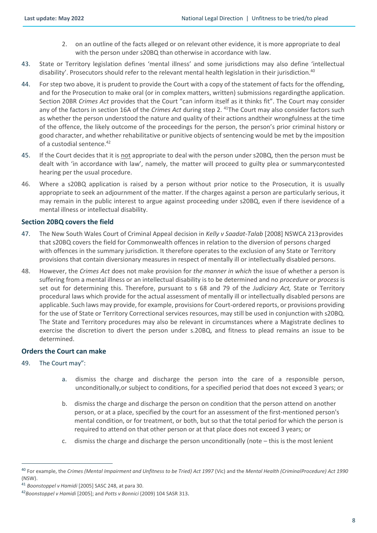- 2. on an outline of the facts alleged or on relevant other evidence, it is more appropriate to deal with the person under s20BQ than otherwise in accordance with law.
- 43. State or Territory legislation defines 'mental illness' and some jurisdictions may also define 'intellectual disability'. Prosecutors should refer to the relevant mental health legislation in their jurisdiction.<sup>40</sup>
- 44. For step two above, it is prudent to provide the Court with a copy of the statement of facts for the offending, and for the Prosecution to make oral (or in complex matters, written) submissions regardingthe application. Section 20BR *Crimes Act* provides that the Court "can inform itself as it thinks fit". The Court may consider any of the factors in section 16A of the *Crimes Act* during step 2. <sup>41</sup>The Court may also consider factors such as whether the person understood the nature and quality of their actions andtheir wrongfulness at the time of the offence, the likely outcome of the proceedings for the person, the person's prior criminal history or good character, and whether rehabilitative or punitive objects of sentencing would be met by the imposition of a custodial sentence. 42
- 45. If the Court decides that it is not appropriate to deal with the person under s20BQ, then the person must be dealt with 'in accordance with law', namely, the matter will proceed to guilty plea or summarycontested hearing per the usual procedure.
- 46. Where a s20BQ application is raised by a person without prior notice to the Prosecution, it is usually appropriate to seek an adjournment of the matter. If the charges against a person are particularly serious, it may remain in the public interest to argue against proceeding under s20BQ, even if there isevidence of a mental illness or intellectual disability.

#### <span id="page-7-0"></span>**Section 20BQ covers the field**

- 47. The New South Wales Court of Criminal Appeal decision in *Kelly v Saadat-Talab* [2008] NSWCA 213 provides that s20BQ covers the field for Commonwealth offences in relation to the diversion of persons charged with offences in the summary jurisdiction. It therefore operates to the exclusion of any State or Territory provisions that contain diversionary measures in respect of mentally ill or intellectually disabled persons.
- 48. However, the *Crimes Act* does not make provision for *the manner in which* the issue of whether a person is suffering from a mental illness or an intellectual disability is to be determined and no *procedure* or *process* is set out for determining this. Therefore, pursuant to s 68 and 79 of the *Judiciary Act,* State or Territory procedural laws which provide for the actual assessment of mentally ill or intellectually disabled persons are applicable. Such laws may provide, for example, provisions for Court-ordered reports, or provisions providing for the use of State or Territory Correctional services resources, may still be used in conjunction with s20BQ. The State and Territory procedures may also be relevant in circumstances where a Magistrate declines to exercise the discretion to divert the person under s.20BQ, and fitness to plead remains an issue to be determined.

#### <span id="page-7-1"></span>**Orders the Court can make**

#### 49. The Court may":

- a. dismiss the charge and discharge the person into the care of a responsible person, unconditionally,or subject to conditions, for a specified period that does not exceed 3 years; or
- b. dismiss the charge and discharge the person on condition that the person attend on another person, or at a place, specified by the court for an assessment of the first-mentioned person's mental condition, or for treatment, or both, but so that the total period for which the person is required to attend on that other person or at that place does not exceed 3 years; or
- c. dismiss the charge and discharge the person unconditionally (note this is the most lenient

<sup>40</sup> For example, the *Crimes (Mental Impairment and Unfitness to be Tried) Act 1997* (Vic) and the *Mental Health (CriminalProcedure) Act 1990* (NSW).

<sup>41</sup> *Boonstoppel v Hamidi* [2005] SASC 248, at para 30.

<sup>42</sup>*Boonstoppel v Hamidi* [2005]; and *Potts v Bonnici* (2009) 104 SASR 313.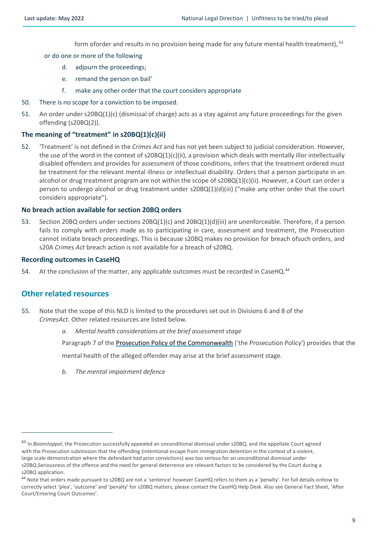form oforder and results in no provision being made for any future mental health treatment), <sup>43</sup>

#### or do one or more of the following

- d. adjourn the proceedings;
- e. remand the person on bail'
- f. make any other order that the court considers appropriate
- 50. There is no scope for a conviction to be imposed.
- 51. An order under s20BQ(1)(c) (dismissal of charge) acts as a stay against any future proceedings for the given offending (s20BQ(2)).

#### <span id="page-8-0"></span>**The meaning of "treatment" in s20BQ(1)(c)(ii)**

52. 'Treatment' is not defined in the *Crimes Act* and has not yet been subject to judicial consideration. However, the use of the word in the context of s20BQ(1)(c)(ii), a provision which deals with mentally illor intellectually disabled offenders and provides for assessment of those conditions, infers that the treatment ordered must be treatment for the relevant mental illness or intellectual disability. Orders that a person participate in an alcohol or drug treatment program are not within the scope of s20BQ(1)(c)(ii). However, a Court can order a person to undergo alcohol or drug treatment under s20BQ(1)(d)(iii) ("make any other order that the court considers appropriate").

#### <span id="page-8-1"></span>**No breach action available for section 20BQ orders**

53. Section 20BQ orders under sections 20BQ(1)(c) and 20BQ(1)(d)(iii) are unenforceable. Therefore, if a person fails to comply with orders made as to participating in care, assessment and treatment, the Prosecution cannot initiate breach proceedings. This is because s20BQ makes no provision for breach ofsuch orders, and s20A *Crimes Act* breach action is not available for a breach of s20BQ.

#### <span id="page-8-2"></span>**Recording outcomes in CaseHQ**

<span id="page-8-3"></span>54. At the conclusion of the matter, any applicable outcomes must be recorded in CaseHQ.<sup>44</sup>

### **Other related resources**

- 55. Note that the scope of this NLD is limited to the procedures set out in Divisions 6 and 8 of the *CrimesAct.* Other related resources are listed below.
	- *a. Mental health considerations at the brief assessment stage*

Paragraph 7 of the Prosecution Policy of the [Commonwealth](http://libcat.dppnet/firstRMS/fullRecord.jsp?recnoListAttr=recnoList&recno=248689) ('the Prosecution Policy') provides that the

mental health of the alleged offender may arise at the brief assessment stage.

*b. The mental impairment defence*

<sup>43</sup> In *Boonstoppel*, the Prosecution successfully appealed an unconditional dismissal under s20BQ, and the appellate Court agreed with the Prosecution submission that the offending (intentional escape from immigration detention in the context of a violent, large scale demonstration where the defendant had prior convictions) was too serious for an unconditional dismissal under s20BQ.Seriousness of the offence and the need for general deterrence are relevant factors to be considered by the Court during a s20BQ application.

<sup>44</sup> Note that orders made pursuant to s20BQ are not a 'sentence' however CaseHQ refers to them as a 'penalty'. For full details onhow to correctly select 'plea', 'outcome' and 'penalty' for s20BQ matters, please contact the CaseHQ Help Desk. Also see General Fact Sheet, 'After Court/Entering Court Outcomes'.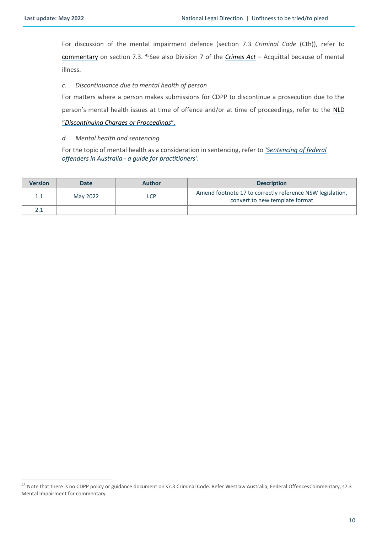For discussion of the mental impairment defence (section 7.3 *Criminal Code* (Cth)), refer to [commentary](https://www.westlaw.com.au/maf/wlau/app/document?docguid=Idc296bb79cec11e088a4c4b2eb8a5af1&&src=doc&hitguid=Iab27248fe17411e0a1589760de535005&snippets=true&startChunk=1&endChunk=1&isTocNav=true&tocDs=AUNZ_AU_LEGCOMM_TOC&anchor_Iab27248fe17411e0a1589760de535005) on section 7.3. <sup>45</sup>See also Division 7 of the *[Crimes Act](https://www.legislation.gov.au/Details/C2020C00253)* – Acquittal because of mental illness.

#### *c. Discontinuance due to mental health of person*

For matters where a person makes submissions for CDPP to discontinue a prosecution due to the person's mental health issues at time of offence and/or at time of proceedings, refer to the [NLD](http://libcat.dppnet/firstRMS/fullRecord.jsp?recno=268975)

#### "*[Discontinuing](http://libcat.dppnet/firstRMS/fullRecord.jsp?recno=268975) Charges or Proceedings*".

#### *d. Mental health and sentencing*

For the topic of mental health as a consideration in sentencing, refer to *['Sentencing of federal](http://libcat.dppnet/firstRMS/fullRecord.jsp?recnoListAttr=recnoList&recno=278548) offenders in Australia - a guide for [practitioners'.](http://libcat.dppnet/firstRMS/fullRecord.jsp?recnoListAttr=recnoList&recno=278548)*

| <b>Version</b> | Date     | <b>Author</b> | <b>Description</b>                                                                          |
|----------------|----------|---------------|---------------------------------------------------------------------------------------------|
| $1.1\,$        | May 2022 | LCP           | Amend footnote 17 to correctly reference NSW legislation,<br>convert to new template format |
|                |          |               |                                                                                             |

<sup>&</sup>lt;sup>45</sup> Note that there is no CDPP policy or guidance document on s7.3 Criminal Code. Refer Westlaw Australia, Federal OffencesCommentary, s7.3 Mental Impairment for commentary.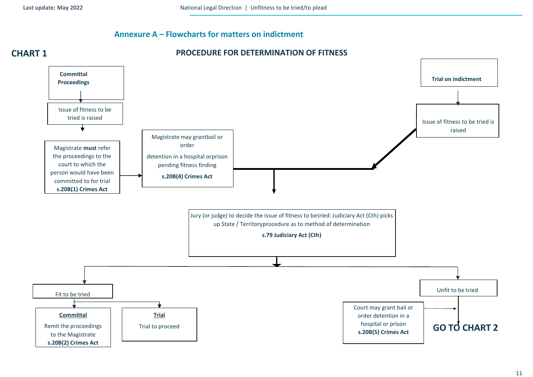## <span id="page-10-0"></span>**Annexure A – Flowcharts for matters on indictment**



#### 11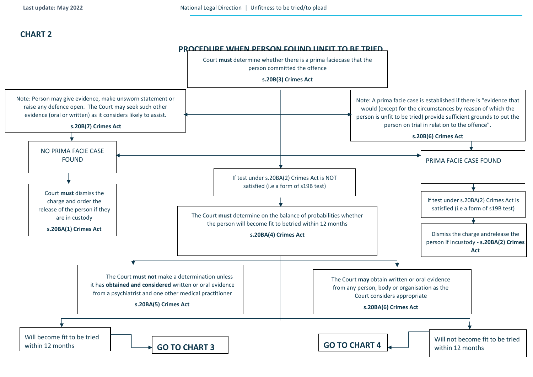## **CHART 2**

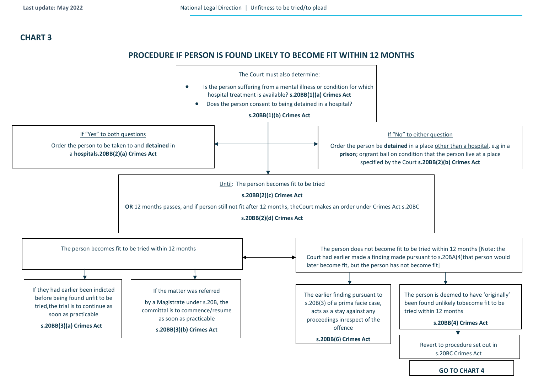## **CHART 3**

## **PROCEDURE IF PERSON IS FOUND LIKELY TO BECOME FIT WITHIN 12 MONTHS**